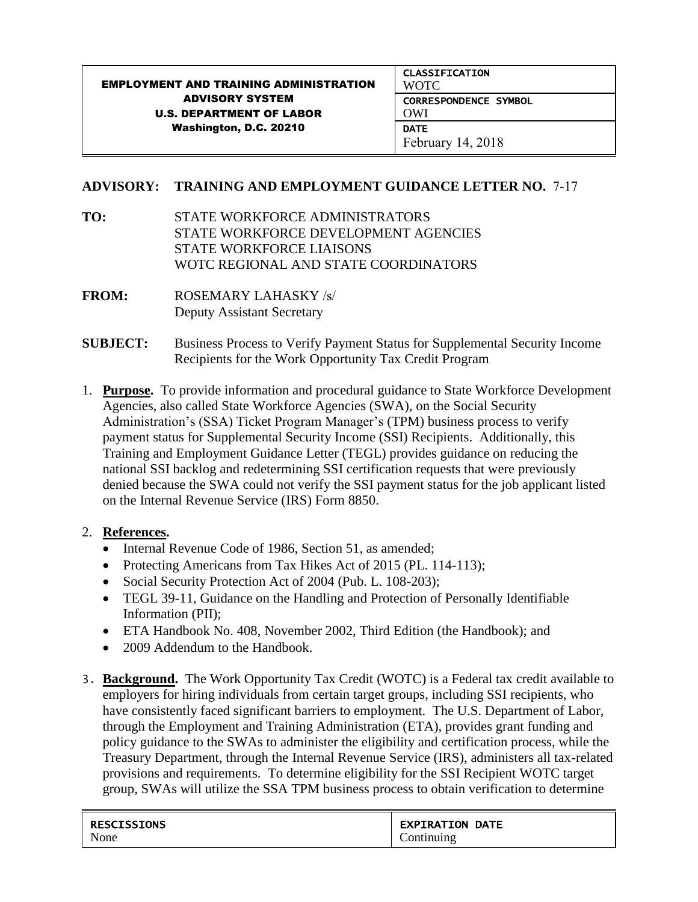## EMPLOYMENT AND TRAINING ADMINISTRATION ADVISORY SYSTEM U.S. DEPARTMENT OF LABOR Washington, D.C. 20210

CLASSIFICATION WOTC CORRESPONDENCE SYMBOL OWI **DATE** February 14, 2018

## **ADVISORY: TRAINING AND EMPLOYMENT GUIDANCE LETTER NO.** 7-17

- **TO:** STATE WORKFORCE ADMINISTRATORS STATE WORKFORCE DEVELOPMENT AGENCIES STATE WORKFORCE LIAISONS WOTC REGIONAL AND STATE COORDINATORS
- **FROM:** ROSEMARY LAHASKY /s/ Deputy Assistant Secretary
- **SUBJECT:** Business Process to Verify Payment Status for Supplemental Security Income Recipients for the Work Opportunity Tax Credit Program
- 1. **Purpose.** To provide information and procedural guidance to State Workforce Development Agencies, also called State Workforce Agencies (SWA), on the Social Security Administration's (SSA) Ticket Program Manager's (TPM) business process to verify payment status for Supplemental Security Income (SSI) Recipients. Additionally, this Training and Employment Guidance Letter (TEGL) provides guidance on reducing the national SSI backlog and redetermining SSI certification requests that were previously denied because the SWA could not verify the SSI payment status for the job applicant listed on the Internal Revenue Service (IRS) Form 8850.

## 2. **References.**

- Internal Revenue Code of 1986, Section 51, as amended;
- Protecting Americans from Tax Hikes Act of 2015 (PL. 114-113);
- Social Security Protection Act of 2004 (Pub. L. 108-203);
- TEGL 39-11, Guidance on the Handling and Protection of Personally Identifiable Information (PII);
- ETA Handbook No. 408, November 2002, Third Edition (the Handbook); and
- 2009 Addendum to the Handbook.
- 3. **Background.** The Work Opportunity Tax Credit (WOTC) is a Federal tax credit available to employers for hiring individuals from certain target groups, including SSI recipients, who have consistently faced significant barriers to employment. The U.S. Department of Labor, through the Employment and Training Administration (ETA), provides grant funding and policy guidance to the SWAs to administer the eligibility and certification process, while the Treasury Department, through the Internal Revenue Service (IRS), administers all tax-related provisions and requirements. To determine eligibility for the SSI Recipient WOTC target group, SWAs will utilize the SSA TPM business process to obtain verification to determine

| <b>RESCISSIONS</b> | <b>EXPIRATION DATE</b> |
|--------------------|------------------------|
| None               | Continuing             |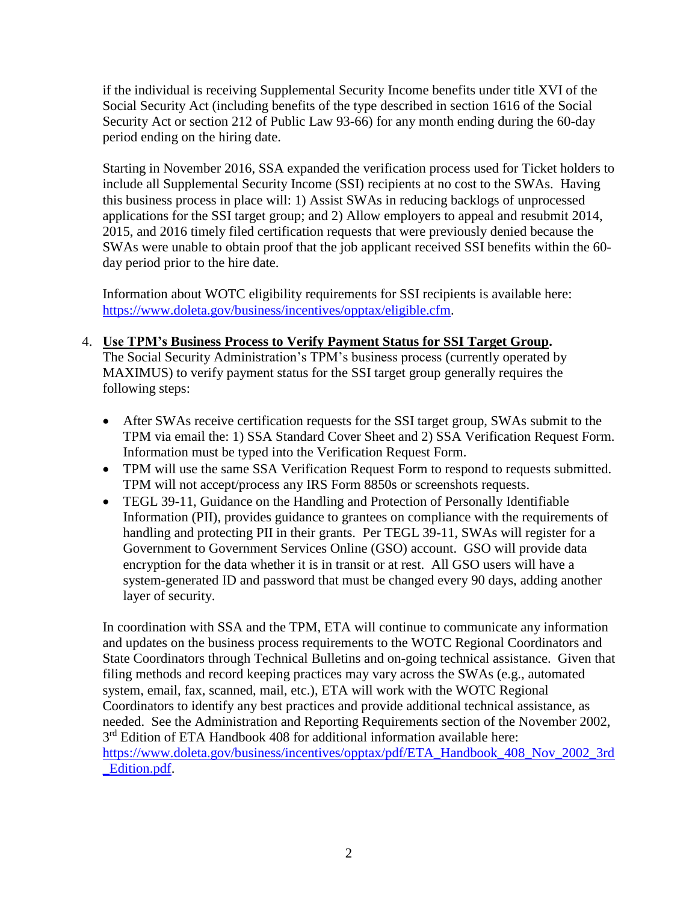if the individual is receiving Supplemental Security Income benefits under title XVI of the Social Security Act (including benefits of the type described in section 1616 of the Social Security Act or section 212 of Public Law 93-66) for any month ending during the 60-day period ending on the hiring date.

Starting in November 2016, SSA expanded the verification process used for Ticket holders to include all Supplemental Security Income (SSI) recipients at no cost to the SWAs. Having this business process in place will: 1) Assist SWAs in reducing backlogs of unprocessed applications for the SSI target group; and 2) Allow employers to appeal and resubmit 2014, 2015, and 2016 timely filed certification requests that were previously denied because the SWAs were unable to obtain proof that the job applicant received SSI benefits within the 60 day period prior to the hire date.

Information about WOTC eligibility requirements for SSI recipients is available here: [https://www.doleta.gov/business/incentives/opptax/eligible.cfm.](https://www.doleta.gov/business/incentives/opptax/eligible.cfm)

## 4. **Use TPM's Business Process to Verify Payment Status for SSI Target Group.**

The Social Security Administration's TPM's business process (currently operated by MAXIMUS) to verify payment status for the SSI target group generally requires the following steps:

- After SWAs receive certification requests for the SSI target group, SWAs submit to the TPM via email the: 1) SSA Standard Cover Sheet and 2) SSA Verification Request Form. Information must be typed into the Verification Request Form.
- TPM will use the same SSA Verification Request Form to respond to requests submitted. TPM will not accept/process any IRS Form 8850s or screenshots requests.
- TEGL 39-11, Guidance on the Handling and Protection of Personally Identifiable Information (PII), provides guidance to grantees on compliance with the requirements of handling and protecting PII in their grants. Per TEGL 39-11, SWAs will register for a Government to Government Services Online (GSO) account. GSO will provide data encryption for the data whether it is in transit or at rest. All GSO users will have a system-generated ID and password that must be changed every 90 days, adding another layer of security.

In coordination with SSA and the TPM, ETA will continue to communicate any information and updates on the business process requirements to the WOTC Regional Coordinators and State Coordinators through Technical Bulletins and on-going technical assistance. Given that filing methods and record keeping practices may vary across the SWAs (e.g., automated system, email, fax, scanned, mail, etc.), ETA will work with the WOTC Regional Coordinators to identify any best practices and provide additional technical assistance, as needed. See the Administration and Reporting Requirements section of the November 2002, 3<sup>rd</sup> Edition of ETA Handbook 408 for additional information available here: [https://www.doleta.gov/business/incentives/opptax/pdf/ETA\\_Handbook\\_408\\_Nov\\_2002\\_3rd](https://www.doleta.gov/business/incentives/opptax/pdf/ETA_Handbook_408_Nov_2002_3rd_Edition.pdf) [\\_Edition.pdf.](https://www.doleta.gov/business/incentives/opptax/pdf/ETA_Handbook_408_Nov_2002_3rd_Edition.pdf)